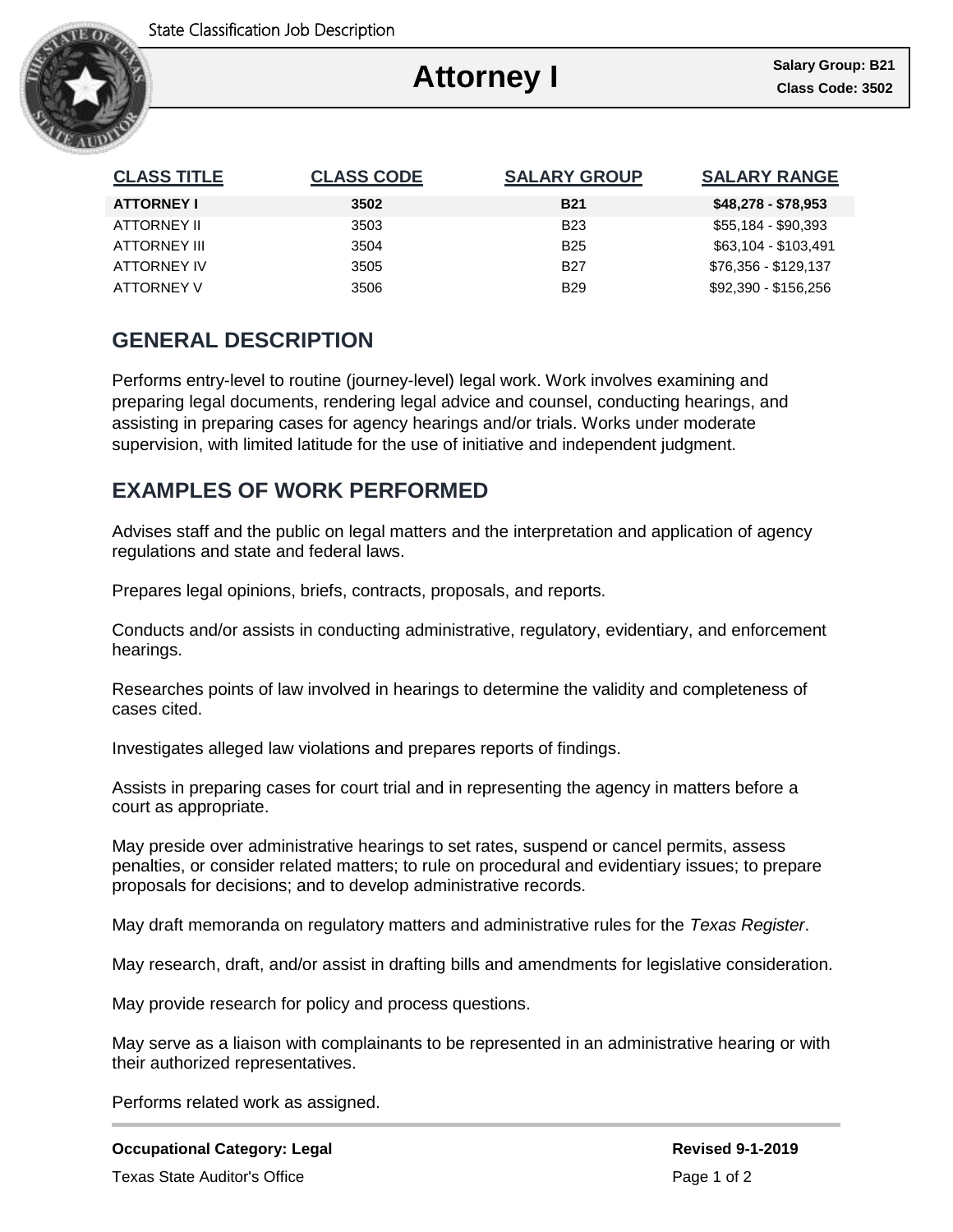

# **Attorney I**

٦

| <b>CLASS TITLE</b> | <b>CLASS CODE</b> | <b>SALARY GROUP</b> | <b>SALARY RANGE</b>  |
|--------------------|-------------------|---------------------|----------------------|
| <b>ATTORNEY I</b>  | 3502              | <b>B21</b>          | \$48,278 - \$78,953  |
| ATTORNEY II        | 3503              | <b>B23</b>          | \$55,184 - \$90,393  |
| ATTORNEY III       | 3504              | <b>B25</b>          | \$63,104 - \$103,491 |
| ATTORNEY IV        | 3505              | <b>B27</b>          | \$76,356 - \$129,137 |
| ATTORNEY V         | 3506              | <b>B29</b>          | \$92,390 - \$156,256 |

## **GENERAL DESCRIPTION**

Performs entry-level to routine (journey-level) legal work. Work involves examining and preparing legal documents, rendering legal advice and counsel, conducting hearings, and assisting in preparing cases for agency hearings and/or trials. Works under moderate supervision, with limited latitude for the use of initiative and independent judgment.

### **EXAMPLES OF WORK PERFORMED**

Advises staff and the public on legal matters and the interpretation and application of agency regulations and state and federal laws.

Prepares legal opinions, briefs, contracts, proposals, and reports.

Conducts and/or assists in conducting administrative, regulatory, evidentiary, and enforcement hearings.

Researches points of law involved in hearings to determine the validity and completeness of cases cited.

Investigates alleged law violations and prepares reports of findings.

Assists in preparing cases for court trial and in representing the agency in matters before a court as appropriate.

May preside over administrative hearings to set rates, suspend or cancel permits, assess penalties, or consider related matters; to rule on procedural and evidentiary issues; to prepare proposals for decisions; and to develop administrative records.

May draft memoranda on regulatory matters and administrative rules for the *Texas Register*.

May research, draft, and/or assist in drafting bills and amendments for legislative consideration.

May provide research for policy and process questions.

May serve as a liaison with complainants to be represented in an administrative hearing or with their authorized representatives.

Performs related work as assigned.

### **Occupational Category: Legal Revised 9-1-2019 Revised 9-1-2019**

Texas State Auditor's Office **Page 1 of 2** and 2